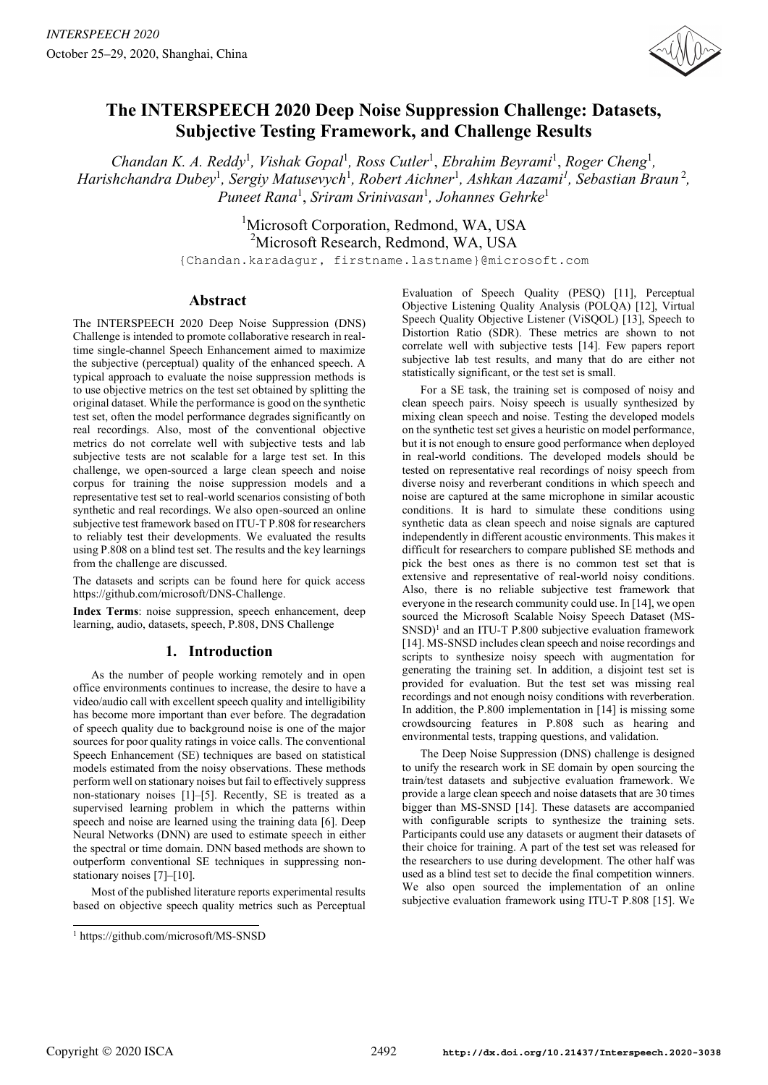

# **The INTERSPEECH 2020 Deep Noise Suppression Challenge: Datasets, Subjective Testing Framework, and Challenge Results**

*Chandan K. A. Reddy<sup>1</sup>, Vishak Gopal<sup>1</sup>, Ross Cutler<sup>1</sup>, <i>Ebrahim Beyrami<sup>1</sup>, Roger Cheng<sup>1</sup>, Harishchandra Dubey<sup>1</sup>, Sergiy Matusevych<sup>1</sup>, Robert Aichner<sup>1</sup>, Ashkan Aazami<sup>1</sup>, Sebastian Braun<sup>2</sup>, Puneet Rana*<sup>1</sup> , *Sriram Srinivasan*<sup>1</sup> *, Johannes Gehrke*<sup>1</sup>

> <sup>1</sup>Microsoft Corporation, Redmond, WA, USA <sup>2</sup>Microsoft Research, Redmond, WA, USA

{Chandan.karadagur, firstname.lastname}@microsoft.com

# **Abstract**

The INTERSPEECH 2020 Deep Noise Suppression (DNS) Challenge is intended to promote collaborative research in realtime single-channel Speech Enhancement aimed to maximize the subjective (perceptual) quality of the enhanced speech. A typical approach to evaluate the noise suppression methods is to use objective metrics on the test set obtained by splitting the original dataset. While the performance is good on the synthetic test set, often the model performance degrades significantly on real recordings. Also, most of the conventional objective metrics do not correlate well with subjective tests and lab subjective tests are not scalable for a large test set. In this challenge, we open-sourced a large clean speech and noise corpus for training the noise suppression models and a representative test set to real-world scenarios consisting of both synthetic and real recordings. We also open-sourced an online subjective test framework based on ITU-T P.808 for researchers to reliably test their developments. We evaluated the results using P.808 on a blind test set. The results and the key learnings from the challenge are discussed.

The datasets and scripts can be found here for quick access https://github.com/microsoft/DNS-Challenge.

**Index Terms**: noise suppression, speech enhancement, deep learning, audio, datasets, speech, P.808, DNS Challenge

# **1. Introduction**

As the number of people working remotely and in open office environments continues to increase, the desire to have a video/audio call with excellent speech quality and intelligibility has become more important than ever before. The degradation of speech quality due to background noise is one of the major sources for poor quality ratings in voice calls. The conventional Speech Enhancement (SE) techniques are based on statistical models estimated from the noisy observations. These methods perform well on stationary noises but fail to effectively suppress non-stationary noises [1]–[5]. Recently, SE is treated as a supervised learning problem in which the patterns within speech and noise are learned using the training data [6]. Deep Neural Networks (DNN) are used to estimate speech in either the spectral or time domain. DNN based methods are shown to outperform conventional SE techniques in suppressing nonstationary noises [7]–[10].

Most of the published literature reports experimental results based on objective speech quality metrics such as Perceptual

Evaluation of Speech Quality (PESQ) [11], Perceptual Objective Listening Quality Analysis (POLQA) [12], Virtual Speech Quality Objective Listener (ViSQOL) [13], Speech to Distortion Ratio (SDR). These metrics are shown to not correlate well with subjective tests [14]. Few papers report subjective lab test results, and many that do are either not statistically significant, or the test set is small.

For a SE task, the training set is composed of noisy and clean speech pairs. Noisy speech is usually synthesized by mixing clean speech and noise. Testing the developed models on the synthetic test set gives a heuristic on model performance, but it is not enough to ensure good performance when deployed in real-world conditions. The developed models should be tested on representative real recordings of noisy speech from diverse noisy and reverberant conditions in which speech and noise are captured at the same microphone in similar acoustic conditions. It is hard to simulate these conditions using synthetic data as clean speech and noise signals are captured independently in different acoustic environments. This makes it difficult for researchers to compare published SE methods and pick the best ones as there is no common test set that is extensive and representative of real-world noisy conditions. Also, there is no reliable subjective test framework that everyone in the research community could use. In [14], we open sourced the Microsoft Scalable Noisy Speech Dataset (MS-SNSD)<sup>1</sup> and an ITU-T P.800 subjective evaluation framework [14]. MS-SNSD includes clean speech and noise recordings and scripts to synthesize noisy speech with augmentation for generating the training set. In addition, a disjoint test set is provided for evaluation. But the test set was missing real recordings and not enough noisy conditions with reverberation. In addition, the P.800 implementation in [14] is missing some crowdsourcing features in P.808 such as hearing and environmental tests, trapping questions, and validation.

The Deep Noise Suppression (DNS) challenge is designed to unify the research work in SE domain by open sourcing the train/test datasets and subjective evaluation framework. We provide a large clean speech and noise datasets that are 30 times bigger than MS-SNSD [14]. These datasets are accompanied with configurable scripts to synthesize the training sets. Participants could use any datasets or augment their datasets of their choice for training. A part of the test set was released for the researchers to use during development. The other half was used as a blind test set to decide the final competition winners. We also open sourced the implementation of an online subjective evaluation framework using ITU-T P.808 [15]. We

<sup>1</sup> https://github.com/microsoft/MS-SNSD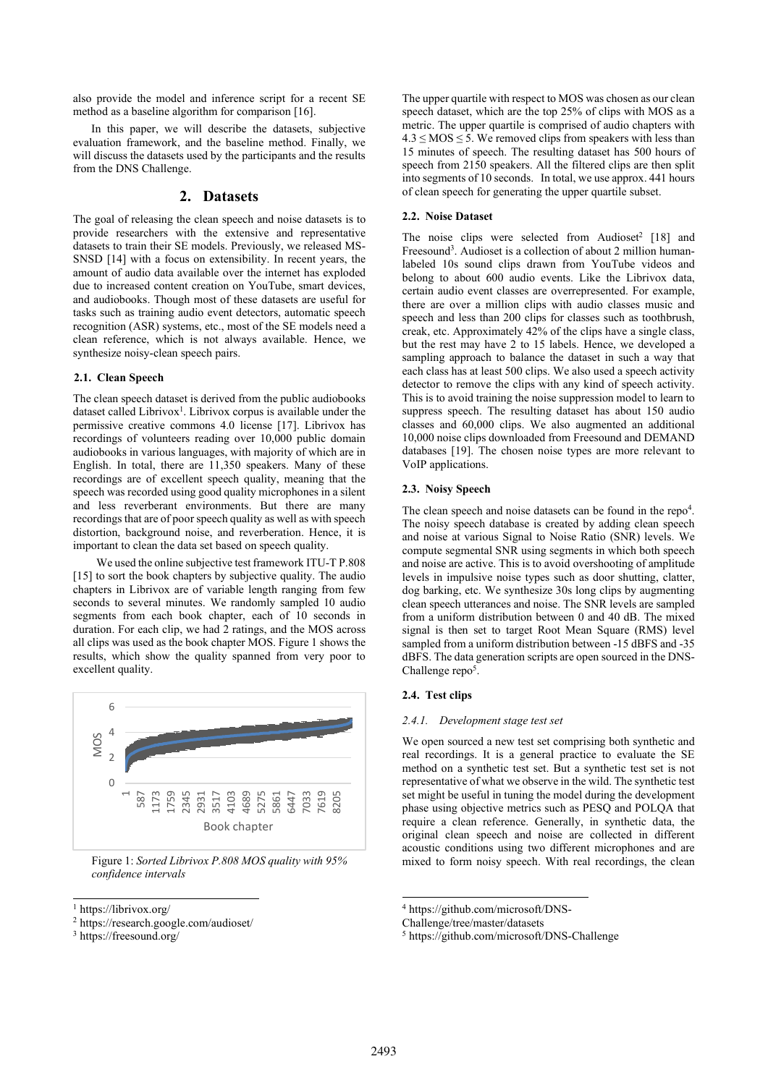also provide the model and inference script for a recent SE method as a baseline algorithm for comparison [16].

In this paper, we will describe the datasets, subjective evaluation framework, and the baseline method. Finally, we will discuss the datasets used by the participants and the results from the DNS Challenge.

## **2. Datasets**

The goal of releasing the clean speech and noise datasets is to provide researchers with the extensive and representative datasets to train their SE models. Previously, we released MS-SNSD [14] with a focus on extensibility. In recent years, the amount of audio data available over the internet has exploded due to increased content creation on YouTube, smart devices, and audiobooks. Though most of these datasets are useful for tasks such as training audio event detectors, automatic speech recognition (ASR) systems, etc., most of the SE models need a clean reference, which is not always available. Hence, we synthesize noisy-clean speech pairs.

#### **2.1. Clean Speech**

The clean speech dataset is derived from the public audiobooks dataset called Librivox<sup>1</sup>. Librivox corpus is available under the permissive creative commons 4.0 license [17]. Librivox has recordings of volunteers reading over 10,000 public domain audiobooks in various languages, with majority of which are in English. In total, there are 11,350 speakers. Many of these recordings are of excellent speech quality, meaning that the speech was recorded using good quality microphones in a silent and less reverberant environments. But there are many recordings that are of poor speech quality as well as with speech distortion, background noise, and reverberation. Hence, it is important to clean the data set based on speech quality.

 We used the online subjective test framework ITU-T P.808 [15] to sort the book chapters by subjective quality. The audio chapters in Librivox are of variable length ranging from few seconds to several minutes. We randomly sampled 10 audio segments from each book chapter, each of 10 seconds in duration. For each clip, we had 2 ratings, and the MOS across all clips was used as the book chapter MOS. Figure 1 shows the results, which show the quality spanned from very poor to excellent quality.



Figure 1: *Sorted Librivox P.808 MOS quality with 95% confidence intervals*

The upper quartile with respect to MOS was chosen as our clean speech dataset, which are the top 25% of clips with MOS as a metric. The upper quartile is comprised of audio chapters with  $4.3 \leq MOS \leq 5$ . We removed clips from speakers with less than 15 minutes of speech. The resulting dataset has 500 hours of speech from 2150 speakers. All the filtered clips are then split into segments of 10 seconds. In total, we use approx. 441 hours of clean speech for generating the upper quartile subset.

## **2.2. Noise Dataset**

The noise clips were selected from Audioset<sup>2</sup> [18] and Freesound<sup>3</sup>. Audioset is a collection of about 2 million humanlabeled 10s sound clips drawn from YouTube videos and belong to about 600 audio events. Like the Librivox data, certain audio event classes are overrepresented. For example, there are over a million clips with audio classes music and speech and less than 200 clips for classes such as toothbrush, creak, etc. Approximately 42% of the clips have a single class, but the rest may have 2 to 15 labels. Hence, we developed a sampling approach to balance the dataset in such a way that each class has at least 500 clips. We also used a speech activity detector to remove the clips with any kind of speech activity. This is to avoid training the noise suppression model to learn to suppress speech. The resulting dataset has about 150 audio classes and 60,000 clips. We also augmented an additional 10,000 noise clips downloaded from Freesound and DEMAND databases [19]. The chosen noise types are more relevant to VoIP applications.

### **2.3. Noisy Speech**

The clean speech and noise datasets can be found in the repo<sup>4</sup>. The noisy speech database is created by adding clean speech and noise at various Signal to Noise Ratio (SNR) levels. We compute segmental SNR using segments in which both speech and noise are active. This is to avoid overshooting of amplitude levels in impulsive noise types such as door shutting, clatter, dog barking, etc. We synthesize 30s long clips by augmenting clean speech utterances and noise. The SNR levels are sampled from a uniform distribution between 0 and 40 dB. The mixed signal is then set to target Root Mean Square (RMS) level sampled from a uniform distribution between -15 dBFS and -35 dBFS. The data generation scripts are open sourced in the DNS-Challenge repo<sup>5</sup>.

### **2.4. Test clips**

#### *2.4.1. Development stage test set*

We open sourced a new test set comprising both synthetic and real recordings. It is a general practice to evaluate the SE method on a synthetic test set. But a synthetic test set is not representative of what we observe in the wild. The synthetic test set might be useful in tuning the model during the development phase using objective metrics such as PESQ and POLQA that require a clean reference. Generally, in synthetic data, the original clean speech and noise are collected in different acoustic conditions using two different microphones and are mixed to form noisy speech. With real recordings, the clean

<sup>1</sup> https://librivox.org/

<sup>2</sup> https://research.google.com/audioset/

<sup>3</sup> https://freesound.org/

<sup>4</sup> https://github.com/microsoft/DNS-

Challenge/tree/master/datasets

<sup>5</sup> https://github.com/microsoft/DNS-Challenge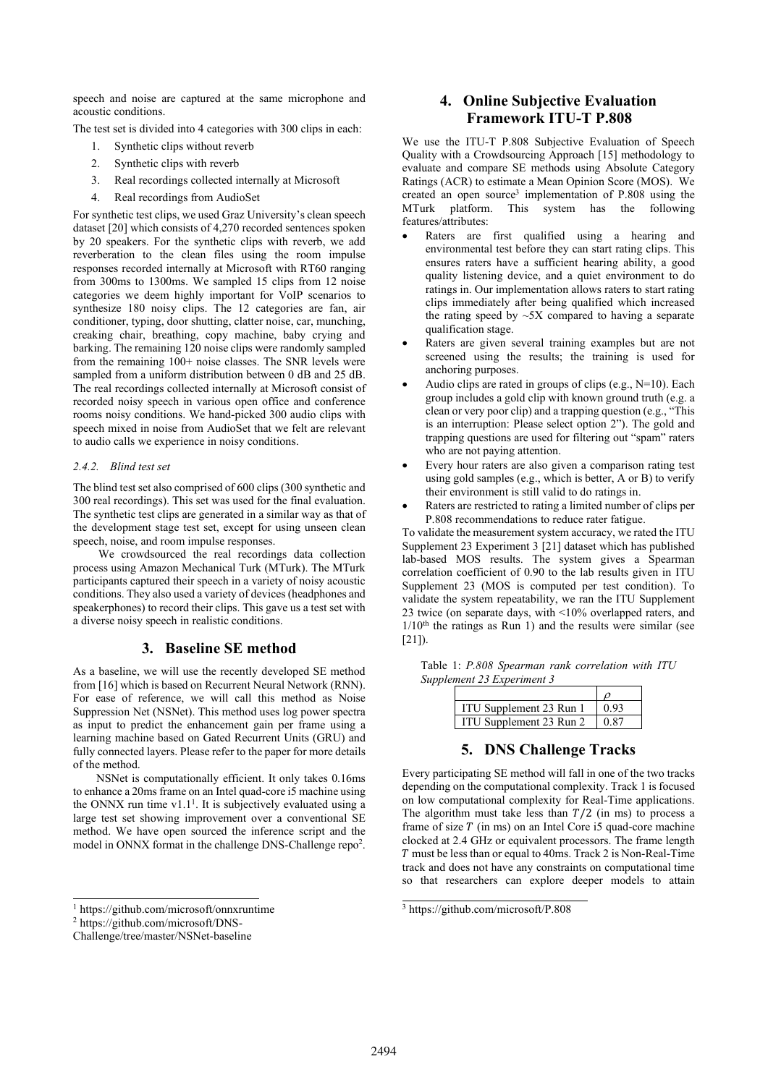speech and noise are captured at the same microphone and acoustic conditions.

The test set is divided into 4 categories with 300 clips in each:

- 1. Synthetic clips without reverb
- 2. Synthetic clips with reverb
- 3. Real recordings collected internally at Microsoft
- 4. Real recordings from AudioSet

For synthetic test clips, we used Graz University's clean speech dataset [20] which consists of 4,270 recorded sentences spoken by 20 speakers. For the synthetic clips with reverb, we add reverberation to the clean files using the room impulse responses recorded internally at Microsoft with RT60 ranging from 300ms to 1300ms. We sampled 15 clips from 12 noise categories we deem highly important for VoIP scenarios to synthesize 180 noisy clips. The 12 categories are fan, air conditioner, typing, door shutting, clatter noise, car, munching, creaking chair, breathing, copy machine, baby crying and barking. The remaining 120 noise clips were randomly sampled from the remaining 100+ noise classes. The SNR levels were sampled from a uniform distribution between 0 dB and 25 dB. The real recordings collected internally at Microsoft consist of recorded noisy speech in various open office and conference rooms noisy conditions. We hand-picked 300 audio clips with speech mixed in noise from AudioSet that we felt are relevant to audio calls we experience in noisy conditions.

#### *2.4.2. Blind test set*

The blind test set also comprised of 600 clips (300 synthetic and 300 real recordings). This set was used for the final evaluation. The synthetic test clips are generated in a similar way as that of the development stage test set, except for using unseen clean speech, noise, and room impulse responses.

 We crowdsourced the real recordings data collection process using Amazon Mechanical Turk (MTurk). The MTurk participants captured their speech in a variety of noisy acoustic conditions. They also used a variety of devices (headphones and speakerphones) to record their clips. This gave us a test set with a diverse noisy speech in realistic conditions.

## **3. Baseline SE method**

As a baseline, we will use the recently developed SE method from [16] which is based on Recurrent Neural Network (RNN). For ease of reference, we will call this method as Noise Suppression Net (NSNet). This method uses log power spectra as input to predict the enhancement gain per frame using a learning machine based on Gated Recurrent Units (GRU) and fully connected layers. Please refer to the paper for more details of the method.

 NSNet is computationally efficient. It only takes 0.16ms to enhance a 20ms frame on an Intel quad-core i5 machine using the ONNX run time  $v1.1<sup>1</sup>$ . It is subjectively evaluated using a large test set showing improvement over a conventional SE method. We have open sourced the inference script and the model in ONNX format in the challenge DNS-Challenge repo<sup>2</sup>.

# **4. Online Subjective Evaluation Framework ITU-T P.808**

We use the ITU-T P.808 Subjective Evaluation of Speech Quality with a Crowdsourcing Approach [15] methodology to evaluate and compare SE methods using Absolute Category Ratings (ACR) to estimate a Mean Opinion Score (MOS). We created an open source<sup>3</sup> implementation of P.808 using the MTurk platform. This system has the following features/attributes:

- Raters are first qualified using a hearing and environmental test before they can start rating clips. This ensures raters have a sufficient hearing ability, a good quality listening device, and a quiet environment to do ratings in. Our implementation allows raters to start rating clips immediately after being qualified which increased the rating speed by  $\sim$ 5X compared to having a separate qualification stage.
- Raters are given several training examples but are not screened using the results; the training is used for anchoring purposes.
- Audio clips are rated in groups of clips (e.g., N=10). Each group includes a gold clip with known ground truth (e.g. a clean or very poor clip) and a trapping question (e.g., "This is an interruption: Please select option 2"). The gold and trapping questions are used for filtering out "spam" raters who are not paying attention.
- Every hour raters are also given a comparison rating test using gold samples (e.g., which is better, A or B) to verify their environment is still valid to do ratings in.
- Raters are restricted to rating a limited number of clips per P.808 recommendations to reduce rater fatigue.

To validate the measurement system accuracy, we rated the ITU Supplement 23 Experiment 3 [21] dataset which has published lab-based MOS results. The system gives a Spearman correlation coefficient of 0.90 to the lab results given in ITU Supplement 23 (MOS is computed per test condition). To validate the system repeatability, we ran the ITU Supplement 23 twice (on separate days, with <10% overlapped raters, and  $1/10<sup>th</sup>$  the ratings as Run 1) and the results were similar (see [21]).

Table 1: *P.808 Spearman rank correlation with ITU Supplement 23 Experiment 3*

| ITU Supplement 23 Run 1 | 0.93         |
|-------------------------|--------------|
| ITU Supplement 23 Run 2 | $0 \times 7$ |

# **5. DNS Challenge Tracks**

Every participating SE method will fall in one of the two tracks depending on the computational complexity. Track 1 is focused on low computational complexity for Real-Time applications. The algorithm must take less than  $T/2$  (in ms) to process a frame of size  $T$  (in ms) on an Intel Core i5 quad-core machine clocked at 2.4 GHz or equivalent processors. The frame length must be less than or equal to 40ms. Track 2 is Non-Real-Time track and does not have any constraints on computational time so that researchers can explore deeper models to attain

<sup>1</sup> https://github.com/microsoft/onnxruntime

<sup>2</sup> https://github.com/microsoft/DNS-

Challenge/tree/master/NSNet-baseline

<sup>3</sup> https://github.com/microsoft/P.808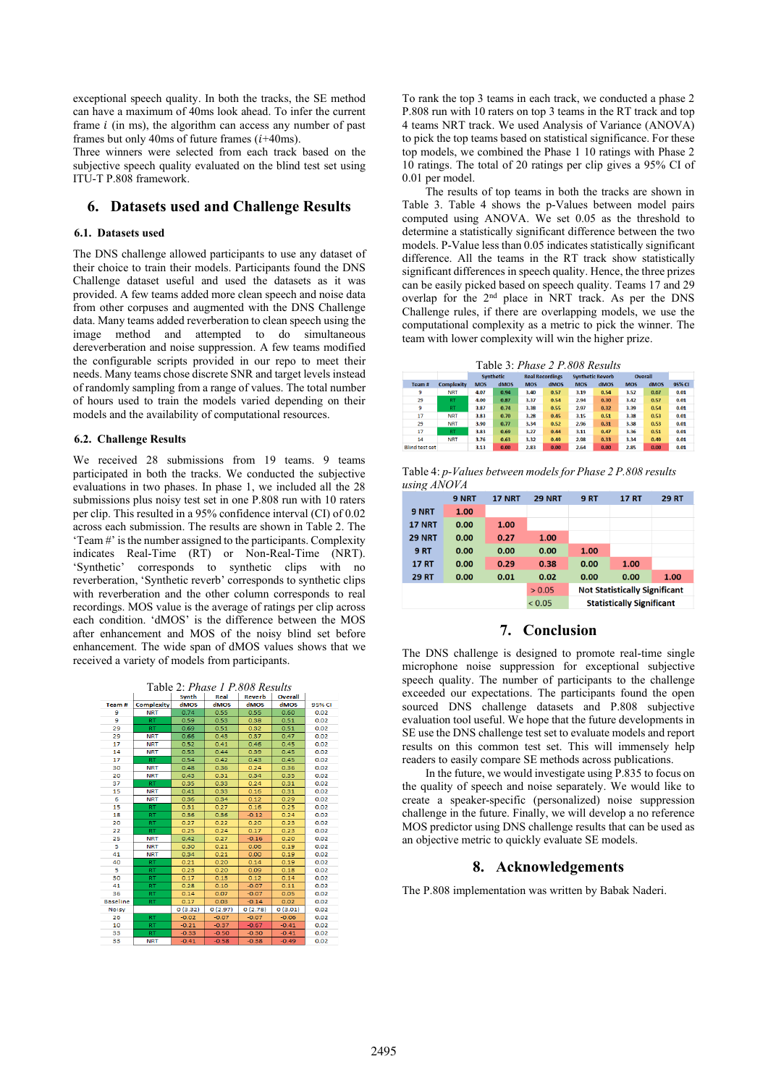exceptional speech quality. In both the tracks, the SE method can have a maximum of 40ms look ahead. To infer the current frame  $i$  (in ms), the algorithm can access any number of past frames but only 40ms of future frames  $(i+40ms)$ .

Three winners were selected from each track based on the subjective speech quality evaluated on the blind test set using ITU-T P.808 framework.

# **6. Datasets used and Challenge Results**

## **6.1. Datasets used**

The DNS challenge allowed participants to use any dataset of their choice to train their models. Participants found the DNS Challenge dataset useful and used the datasets as it was provided. A few teams added more clean speech and noise data from other corpuses and augmented with the DNS Challenge data. Many teams added reverberation to clean speech using the image method and attempted to do simultaneous dereverberation and noise suppression. A few teams modified the configurable scripts provided in our repo to meet their needs. Many teams chose discrete SNR and target levels instead of randomly sampling from a range of values. The total number of hours used to train the models varied depending on their models and the availability of computational resources.

#### **6.2. Challenge Results**

We received 28 submissions from 19 teams. 9 teams participated in both the tracks. We conducted the subjective evaluations in two phases. In phase 1, we included all the 28 submissions plus noisy test set in one P.808 run with 10 raters per clip. This resulted in a 95% confidence interval (CI) of 0.02 across each submission. The results are shown in Table 2. The 'Team #' is the number assigned to the participants. Complexity indicates Real-Time (RT) or Non-Real-Time (NRT). 'Synthetic' corresponds to synthetic clips with no reverberation, 'Synthetic reverb' corresponds to synthetic clips with reverberation and the other column corresponds to real recordings. MOS value is the average of ratings per clip across each condition. 'dMOS' is the difference between the MOS after enhancement and MOS of the noisy blind set before enhancement. The wide span of dMOS values shows that we received a variety of models from participants.

| Table 2: <i>Phase 1 P.808 Results</i> |  |  |
|---------------------------------------|--|--|
|                                       |  |  |



To rank the top 3 teams in each track, we conducted a phase 2 P.808 run with 10 raters on top 3 teams in the RT track and top 4 teams NRT track. We used Analysis of Variance (ANOVA) to pick the top teams based on statistical significance. For these top models, we combined the Phase 1 10 ratings with Phase 2 10 ratings. The total of 20 ratings per clip gives a 95% CI of 0.01 per model.

 The results of top teams in both the tracks are shown in Table 3. Table 4 shows the p-Values between model pairs computed using ANOVA. We set 0.05 as the threshold to determine a statistically significant difference between the two models. P-Value less than 0.05 indicates statistically significant difference. All the teams in the RT track show statistically significant differences in speech quality. Hence, the three prizes can be easily picked based on speech quality. Teams 17 and 29 overlap for the 2nd place in NRT track. As per the DNS Challenge rules, if there are overlapping models, we use the computational complexity as a metric to pick the winner. The team with lower complexity will win the higher prize.

Table 3: *Phase 2 P.808 Results*

|                       |                   |            | <b>Synthetic</b> | <b>Real Recordings</b> |      | <b>Synthetic Reverb</b> |      | <b>Overall</b> |      |        |
|-----------------------|-------------------|------------|------------------|------------------------|------|-------------------------|------|----------------|------|--------|
| Team#                 | <b>Complexity</b> | <b>MOS</b> | dMOS             | <b>MOS</b>             | dMOS | <b>MOS</b>              | dMOS | <b>MOS</b>     | dMOS | 95% CI |
| 9                     | <b>NRT</b>        | 4.07       | 0.94             | 3.40                   | 0.57 | 3.19                    | 0.54 | 3.52           | 0.67 | 0.01   |
| 29                    | <b>RT</b>         | 4.00       | 0.87             | 3.37                   | 0.54 | 2.94                    | 0.30 | 3.42           | 0.57 | 0.01   |
| 9                     | <b>RT</b>         | 3.87       | 0.74             | 3.38                   | 0.55 | 2.97                    | 0.32 | 3.39           | 0.54 | 0.01   |
| 17                    | <b>NRT</b>        | 3.83       | 0.70             | 3.28                   | 0.45 | 3.15                    | 0.51 | 3.38           | 0.53 | 0.01   |
| 29                    | <b>NRT</b>        | 3.90       | 0.77             | 3.34                   | 0.52 | 2.96                    | 0.31 | 3.38           | 0.53 | 0.01   |
| 17                    | <b>RT</b>         | 3.83       | 0.69             | 3.27                   | 0.44 | 3.11                    | 0.47 | 3.36           | 0.51 | 0.01   |
| 14                    | <b>NRT</b>        | 3.76       | 0.63             | 3.32                   | 0.49 | 2.98                    | 0.33 | 3.34           | 0.49 | 0.01   |
| <b>Blind test set</b> |                   | 3.13       | 0.00             | 2.83                   | 0.00 | 2.64                    | 0.00 | 2.85           | 0.00 | 0.01   |

Table 4: *p-Values between models for Phase 2 P.808 results using ANOVA*

|               | 9 NRT | <b>17 NRT</b> | <b>29 NRT</b> | <b>9 RT</b>                          | <b>17 RT</b> | <b>29 RT</b> |  |
|---------------|-------|---------------|---------------|--------------------------------------|--------------|--------------|--|
| 9 NRT         | 1.00  |               |               |                                      |              |              |  |
| <b>17 NRT</b> | 0.00  | 1.00          |               |                                      |              |              |  |
| <b>29 NRT</b> | 0.00  | 0.27          | 1.00          |                                      |              |              |  |
| <b>9 RT</b>   | 0.00  | 0.00          | 0.00          | 1.00                                 |              |              |  |
| <b>17 RT</b>  | 0.00  | 0.29          | 0.38          | 0.00                                 | 1.00         |              |  |
| <b>29 RT</b>  | 0.00  | 0.01          | 0.02          | 0.00                                 | 0.00         | 1.00         |  |
|               |       |               | > 0.05        | <b>Not Statistically Significant</b> |              |              |  |
|               |       |               | < 0.05        | <b>Statistically Significant</b>     |              |              |  |

# **7. Conclusion**

The DNS challenge is designed to promote real-time single microphone noise suppression for exceptional subjective speech quality. The number of participants to the challenge exceeded our expectations. The participants found the open sourced DNS challenge datasets and P.808 subjective evaluation tool useful. We hope that the future developments in SE use the DNS challenge test set to evaluate models and report results on this common test set. This will immensely help readers to easily compare SE methods across publications.

 In the future, we would investigate using P.835 to focus on the quality of speech and noise separately. We would like to create a speaker-specific (personalized) noise suppression challenge in the future. Finally, we will develop a no reference MOS predictor using DNS challenge results that can be used as an objective metric to quickly evaluate SE models.

# **8. Acknowledgements**

The P.808 implementation was written by Babak Naderi.